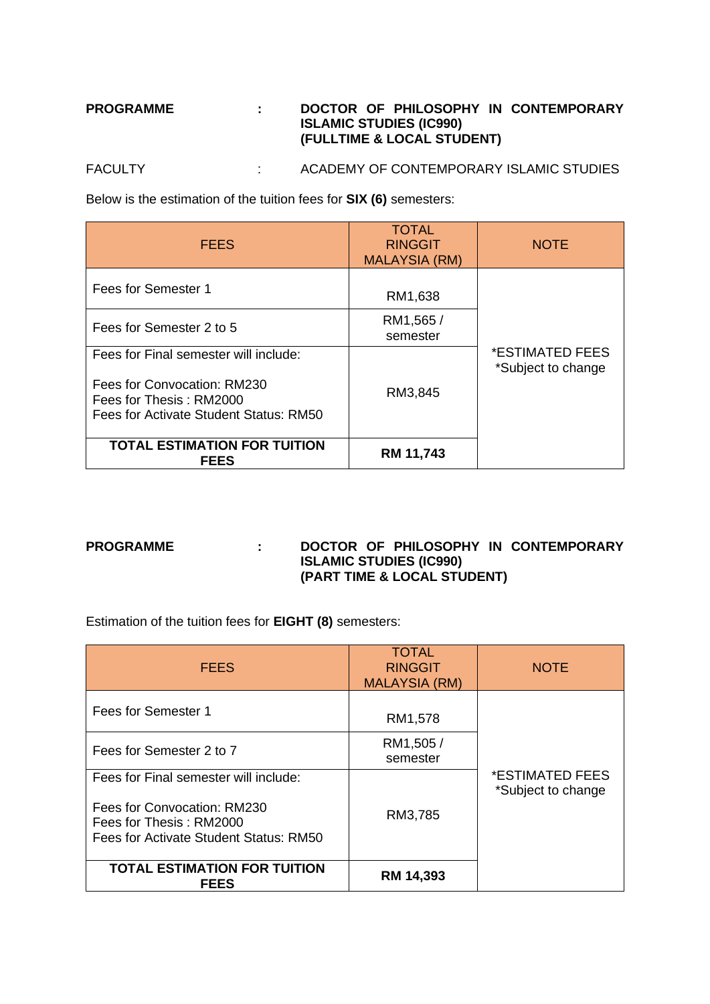## **PROGRAMME : DOCTOR OF PHILOSOPHY IN CONTEMPORARY ISLAMIC STUDIES (IC990) (FULLTIME & LOCAL STUDENT)**

FACULTY : ACADEMY OF CONTEMPORARY ISLAMIC STUDIES

Below is the estimation of the tuition fees for **SIX (6)** semesters:

| <b>FEES</b>                                                                                                                               | <b>TOTAL</b><br><b>RINGGIT</b><br><b>MALAYSIA (RM)</b> | <b>NOTE</b>                           |
|-------------------------------------------------------------------------------------------------------------------------------------------|--------------------------------------------------------|---------------------------------------|
| Fees for Semester 1                                                                                                                       | RM1,638                                                |                                       |
| Fees for Semester 2 to 5                                                                                                                  | RM1,565/<br>semester                                   |                                       |
| Fees for Final semester will include:<br>Fees for Convocation: RM230<br>Fees for Thesis: RM2000<br>Fees for Activate Student Status: RM50 | RM3,845                                                | *ESTIMATED FEES<br>*Subject to change |
| <b>TOTAL ESTIMATION FOR TUITION</b><br><b>FEES</b>                                                                                        | RM 11,743                                              |                                       |

## **PROGRAMME : DOCTOR OF PHILOSOPHY IN CONTEMPORARY ISLAMIC STUDIES (IC990) (PART TIME & LOCAL STUDENT)**

Estimation of the tuition fees for **EIGHT (8)** semesters:

| <b>FEES</b>                                                                                                                               | <b>TOTAL</b><br><b>RINGGIT</b><br><b>MALAYSIA (RM)</b> | <b>NOTE</b>                           |
|-------------------------------------------------------------------------------------------------------------------------------------------|--------------------------------------------------------|---------------------------------------|
| Fees for Semester 1                                                                                                                       | RM1,578                                                |                                       |
| Fees for Semester 2 to 7                                                                                                                  | RM1,505 /<br>semester                                  |                                       |
| Fees for Final semester will include:<br>Fees for Convocation: RM230<br>Fees for Thesis: RM2000<br>Fees for Activate Student Status: RM50 | RM3,785                                                | *ESTIMATED FEES<br>*Subject to change |
| <b>TOTAL ESTIMATION FOR TUITION</b><br><b>FEES</b>                                                                                        | RM 14,393                                              |                                       |